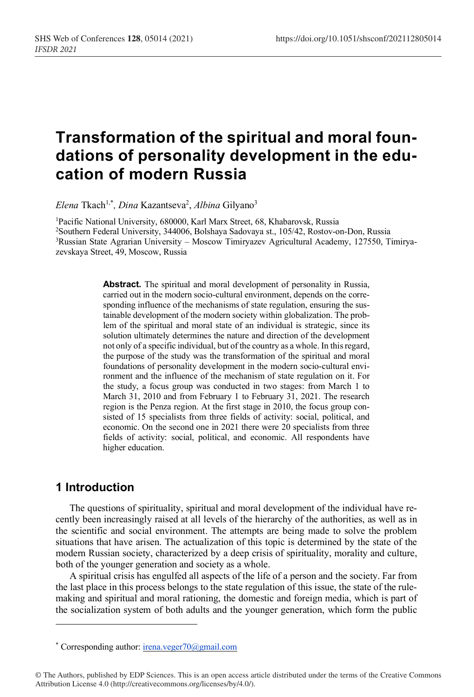# **Transformation of the spiritual and moral foundations of personality development in the education of modern Russia**

*Elena* Tkach1,\* *, Dina* Kazantseva2 , *Albina* Gilyano3

<sup>1</sup>Pacific National University, 680000, Karl Marx Street, 68, Khabarovsk, Russia 2 Southern Federal University, 344006, Bolshaya Sadovaya st., 105/42, Rostov-on-Don, Russia 3 Russian State Agrarian University – Moscow Timiryazev Agricultural Academy, 127550, Timiryazevskaya Street, 49, Moscow, Russia

> **Abstract.** The spiritual and moral development of personality in Russia, carried out in the modern socio-cultural environment, depends on the corresponding influence of the mechanisms of state regulation, ensuring the sustainable development of the modern society within globalization. The problem of the spiritual and moral state of an individual is strategic, since its solution ultimately determines the nature and direction of the development not only of a specific individual, but of the country as a whole. In thisregard, the purpose of the study was the transformation of the spiritual and moral foundations of personality development in the modern socio-cultural environment and the influence of the mechanism of state regulation on it. For the study, a focus group was conducted in two stages: from March 1 to March 31, 2010 and from February 1 to February 31, 2021. The research region is the Penza region. At the first stage in 2010, the focus group consisted of 15 specialists from three fields of activity: social, political, and economic. On the second one in 2021 there were 20 specialists from three fields of activity: social, political, and economic. All respondents have higher education.

# **1 Introduction**

The questions of spirituality, spiritual and moral development of the individual have recently been increasingly raised at all levels of the hierarchy of the authorities, as well as in the scientific and social environment. The attempts are being made to solve the problem situations that have arisen. The actualization of this topic is determined by the state of the modern Russian society, characterized by a deep crisis of spirituality, morality and culture, both of the younger generation and society as a whole.

A spiritual crisis has engulfed all aspects of the life of a person and the society. Far from the last place in this process belongs to the state regulation of this issue, the state of the rulemaking and spiritual and moral rationing, the domestic and foreign media, which is part of the socialization system of both adults and the younger generation, which form the public

© The Authors, published by EDP Sciences. This is an open access article distributed under the terms of the Creative Commons Attribution License 4.0 (http://creativecommons.org/licenses/by/4.0/).

<sup>\*</sup> Corresponding author: irena.veger70@gmail.com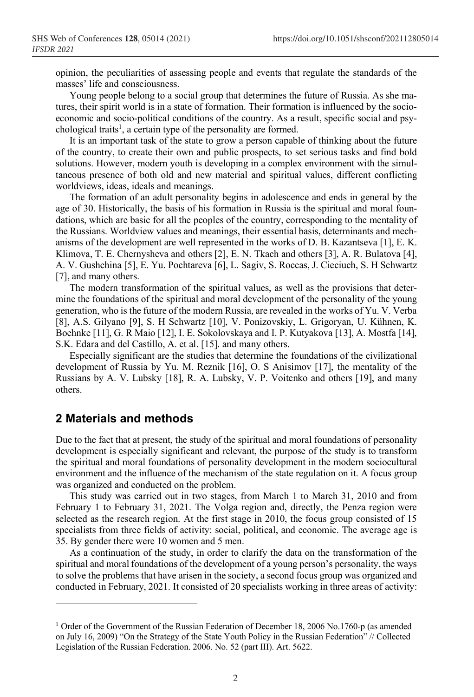opinion, the peculiarities of assessing people and events that regulate the standards of the masses' life and consciousness.

Young people belong to a social group that determines the future of Russia. As she matures, their spirit world is in a state of formation. Their formation is influenced by the socioeconomic and socio-political conditions of the country. As a result, specific social and psychological traits<sup>1</sup>, a certain type of the personality are formed.

It is an important task of the state to grow a person capable of thinking about the future of the country, to create their own and public prospects, to set serious tasks and find bold solutions. However, modern youth is developing in a complex environment with the simultaneous presence of both old and new material and spiritual values, different conflicting worldviews, ideas, ideals and meanings.

The formation of an adult personality begins in adolescence and ends in general by the age of 30. Historically, the basis of his formation in Russia is the spiritual and moral foundations, which are basic for all the peoples of the country, corresponding to the mentality of the Russians. Worldview values and meanings, their essential basis, determinants and mechanisms of the development are well represented in the works of D. B. Kazantseva [1], E. K. Klimova, T. E. Chernysheva and others [2], E. N. Tkach and others [3], A. R. Bulatova [4], A. V. Gushchina [5], E. Yu. Pochtareva [6], L. Sagiv, S. Roccas, J. Cieciuch, S. H Schwartz [7], and many others.

The modern transformation of the spiritual values, as well as the provisions that determine the foundations of the spiritual and moral development of the personality of the young generation, who is the future of the modern Russia, are revealed in the works of Yu. V. Verba [8], A.S. Gilyano [9], S. H Schwartz [10], V. Ponizovskiy, L. Grigoryan, U. Kühnen, K. Boehnke [11], G. R Maio [12], I. E. Sokolovskaya and I. P. Kutyakova [13], A. Mostfa [14], S.K. Edara and del Castillo, A. et al. [15]. and many others.

Especially significant are the studies that determine the foundations of the civilizational development of Russia by Yu. M. Reznik [16], O. S Anisimov [17], the mentality of the Russians by A. V. Lubsky [18], R. A. Lubsky, V. P. Voitenko and others [19], and many others.

#### **2 Materials and methods**

Due to the fact that at present, the study of the spiritual and moral foundations of personality development is especially significant and relevant, the purpose of the study is to transform the spiritual and moral foundations of personality development in the modern sociocultural environment and the influence of the mechanism of the state regulation on it. A focus group was organized and conducted on the problem.

This study was carried out in two stages, from March 1 to March 31, 2010 and from February 1 to February 31, 2021. The Volga region and, directly, the Penza region were selected as the research region. At the first stage in 2010, the focus group consisted of 15 specialists from three fields of activity: social, political, and economic. The average age is 35. By gender there were 10 women and 5 men.

As a continuation of the study, in order to clarify the data on the transformation of the spiritual and moral foundations of the development of a young person's personality, the ways to solve the problems that have arisen in the society, a second focus group was organized and conducted in February, 2021. It consisted of 20 specialists working in three areas of activity:

<sup>1</sup> Order of the Government of the Russian Federation of December 18, 2006 No.1760-p (as amended on July 16, 2009) "On the Strategy of the State Youth Policy in the Russian Federation" // Collected Legislation of the Russian Federation. 2006. No. 52 (part III). Art. 5622.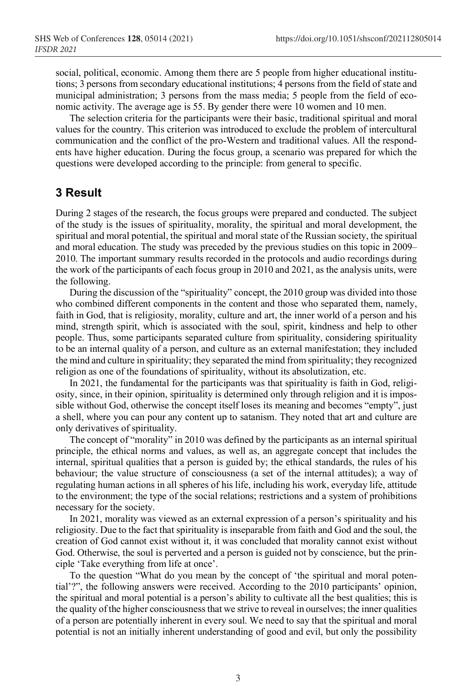social, political, economic. Among them there are 5 people from higher educational institutions; 3 persons from secondary educational institutions; 4 persons from the field of state and municipal administration; 3 persons from the mass media; 5 people from the field of economic activity. The average age is 55. By gender there were 10 women and 10 men.

The selection criteria for the participants were their basic, traditional spiritual and moral values for the country. This criterion was introduced to exclude the problem of intercultural communication and the conflict of the pro-Western and traditional values. All the respondents have higher education. During the focus group, a scenario was prepared for which the questions were developed according to the principle: from general to specific.

#### **3 Result**

During 2 stages of the research, the focus groups were prepared and conducted. The subject of the study is the issues of spirituality, morality, the spiritual and moral development, the spiritual and moral potential, the spiritual and moral state of the Russian society, the spiritual and moral education. The study was preceded by the previous studies on this topic in 2009– 2010. The important summary results recorded in the protocols and audio recordings during the work of the participants of each focus group in 2010 and 2021, as the analysis units, were the following.

During the discussion of the "spirituality" concept, the 2010 group was divided into those who combined different components in the content and those who separated them, namely, faith in God, that is religiosity, morality, culture and art, the inner world of a person and his mind, strength spirit, which is associated with the soul, spirit, kindness and help to other people. Thus, some participants separated culture from spirituality, considering spirituality to be an internal quality of a person, and culture as an external manifestation; they included the mind and culture in spirituality; they separated the mind from spirituality; they recognized religion as one of the foundations of spirituality, without its absolutization, etc.

In 2021, the fundamental for the participants was that spirituality is faith in God, religiosity, since, in their opinion, spirituality is determined only through religion and it is impossible without God, otherwise the concept itself loses its meaning and becomes "empty", just a shell, where you can pour any content up to satanism. They noted that art and culture are only derivatives of spirituality.

The concept of "morality" in 2010 was defined by the participants as an internal spiritual principle, the ethical norms and values, as well as, an aggregate concept that includes the internal, spiritual qualities that a person is guided by; the ethical standards, the rules of his behaviour; the value structure of consciousness (a set of the internal attitudes); a way of regulating human actions in all spheres of his life, including his work, everyday life, attitude to the environment; the type of the social relations; restrictions and a system of prohibitions necessary for the society.

In 2021, morality was viewed as an external expression of a person's spirituality and his religiosity. Due to the fact that spirituality is inseparable from faith and God and the soul, the creation of God cannot exist without it, it was concluded that morality cannot exist without God. Otherwise, the soul is perverted and a person is guided not by conscience, but the principle 'Take everything from life at once'.

To the question "What do you mean by the concept of 'the spiritual and moral potential'?", the following answers were received. According to the 2010 participants' opinion, the spiritual and moral potential is a person's ability to cultivate all the best qualities; this is the quality of the higher consciousnessthat we strive to reveal in ourselves; the inner qualities of a person are potentially inherent in every soul. We need to say that the spiritual and moral potential is not an initially inherent understanding of good and evil, but only the possibility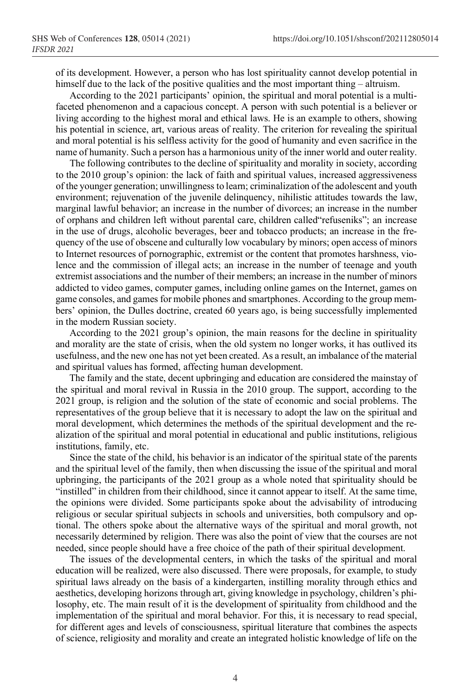of its development. However, a person who has lost spirituality cannot develop potential in himself due to the lack of the positive qualities and the most important thing – altruism.

According to the 2021 participants' opinion, the spiritual and moral potential is a multifaceted phenomenon and a capacious concept. A person with such potential is a believer or living according to the highest moral and ethical laws. He is an example to others, showing his potential in science, art, various areas of reality. The criterion for revealing the spiritual and moral potential is his selfless activity for the good of humanity and even sacrifice in the name of humanity. Such a person has a harmonious unity of the inner world and outer reality.

The following contributes to the decline of spirituality and morality in society, according to the 2010 group's opinion: the lack of faith and spiritual values, increased aggressiveness of the younger generation; unwillingness to learn; criminalization of the adolescent and youth environment; rejuvenation of the juvenile delinquency, nihilistic attitudes towards the law, marginal lawful behavior; an increase in the number of divorces; an increase in the number of orphans and children left without parental care, children called"refuseniks"; an increase in the use of drugs, alcoholic beverages, beer and tobacco products; an increase in the frequency of the use of obscene and culturally low vocabulary by minors; open access of minors to Internet resources of pornographic, extremist or the content that promotes harshness, violence and the commission of illegal acts; an increase in the number of teenage and youth extremist associations and the number of their members; an increase in the number of minors addicted to video games, computer games, including online games on the Internet, games on game consoles, and games for mobile phones and smartphones. According to the group members' opinion, the Dulles doctrine, created 60 years ago, is being successfully implemented in the modern Russian society.

According to the 2021 group's opinion, the main reasons for the decline in spirituality and morality are the state of crisis, when the old system no longer works, it has outlived its usefulness, and the new one has not yet been created. As a result, an imbalance of the material and spiritual values has formed, affecting human development.

The family and the state, decent upbringing and education are considered the mainstay of the spiritual and moral revival in Russia in the 2010 group. The support, according to the 2021 group, is religion and the solution of the state of economic and social problems. The representatives of the group believe that it is necessary to adopt the law on the spiritual and moral development, which determines the methods of the spiritual development and the realization of the spiritual and moral potential in educational and public institutions, religious institutions, family, etc.

Since the state of the child, his behavior is an indicator of the spiritual state of the parents and the spiritual level of the family, then when discussing the issue of the spiritual and moral upbringing, the participants of the 2021 group as a whole noted that spirituality should be "instilled" in children from their childhood, since it cannot appear to itself. At the same time, the opinions were divided. Some participants spoke about the advisability of introducing religious or secular spiritual subjects in schools and universities, both compulsory and optional. The others spoke about the alternative ways of the spiritual and moral growth, not necessarily determined by religion. There was also the point of view that the courses are not needed, since people should have a free choice of the path of their spiritual development.

The issues of the developmental centers, in which the tasks of the spiritual and moral education will be realized, were also discussed. There were proposals, for example, to study spiritual laws already on the basis of a kindergarten, instilling morality through ethics and aesthetics, developing horizons through art, giving knowledge in psychology, children's philosophy, etc. The main result of it is the development of spirituality from childhood and the implementation of the spiritual and moral behavior. For this, it is necessary to read special, for different ages and levels of consciousness, spiritual literature that combines the aspects of science, religiosity and morality and create an integrated holistic knowledge of life on the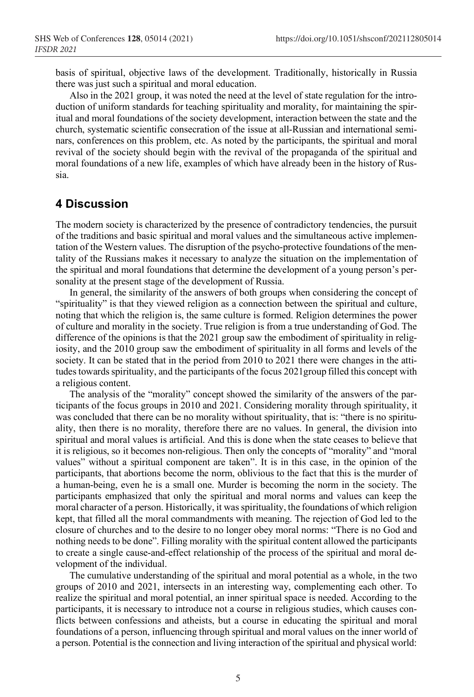basis of spiritual, objective laws of the development. Traditionally, historically in Russia there was just such a spiritual and moral education.

Also in the 2021 group, it was noted the need at the level of state regulation for the introduction of uniform standards for teaching spirituality and morality, for maintaining the spiritual and moral foundations of the society development, interaction between the state and the church, systematic scientific consecration of the issue at all-Russian and international seminars, conferences on this problem, etc. As noted by the participants, the spiritual and moral revival of the society should begin with the revival of the propaganda of the spiritual and moral foundations of a new life, examples of which have already been in the history of Russia.

### **4 Discussion**

The modern society is characterized by the presence of contradictory tendencies, the pursuit of the traditions and basic spiritual and moral values and the simultaneous active implementation of the Western values. The disruption of the psycho-protective foundations of the mentality of the Russians makes it necessary to analyze the situation on the implementation of the spiritual and moral foundations that determine the development of a young person's personality at the present stage of the development of Russia.

In general, the similarity of the answers of both groups when considering the concept of "spirituality" is that they viewed religion as a connection between the spiritual and culture, noting that which the religion is, the same culture is formed. Religion determines the power of culture and morality in the society. True religion is from a true understanding of God. The difference of the opinions is that the 2021 group saw the embodiment of spirituality in religiosity, and the 2010 group saw the embodiment of spirituality in all forms and levels of the society. It can be stated that in the period from 2010 to 2021 there were changes in the attitudes towards spirituality, and the participants of the focus 2021group filled this concept with a religious content.

The analysis of the "morality" concept showed the similarity of the answers of the participants of the focus groups in 2010 and 2021. Considering morality through spirituality, it was concluded that there can be no morality without spirituality, that is: "there is no spirituality, then there is no morality, therefore there are no values. In general, the division into spiritual and moral values is artificial. And this is done when the state ceases to believe that it is religious, so it becomes non-religious. Then only the concepts of "morality" and "moral values" without a spiritual component are taken". It is in this case, in the opinion of the participants, that abortions become the norm, oblivious to the fact that this is the murder of a human-being, even he is a small one. Murder is becoming the norm in the society. The participants emphasized that only the spiritual and moral norms and values can keep the moral character of a person. Historically, it was spirituality, the foundations of which religion kept, that filled all the moral commandments with meaning. The rejection of God led to the closure of churches and to the desire to no longer obey moral norms: "There is no God and nothing needs to be done". Filling morality with the spiritual content allowed the participants to create a single cause-and-effect relationship of the process of the spiritual and moral development of the individual.

The cumulative understanding of the spiritual and moral potential as a whole, in the two groups of 2010 and 2021, intersects in an interesting way, complementing each other. To realize the spiritual and moral potential, an inner spiritual space is needed. According to the participants, it is necessary to introduce not a course in religious studies, which causes conflicts between confessions and atheists, but a course in educating the spiritual and moral foundations of a person, influencing through spiritual and moral values on the inner world of a person. Potential isthe connection and living interaction of the spiritual and physical world: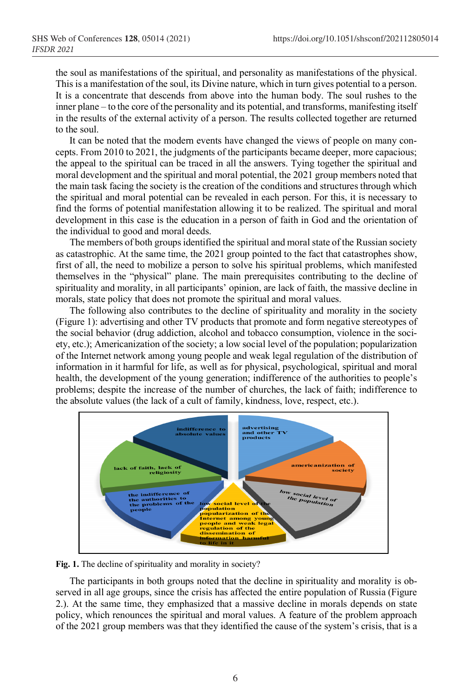the soul as manifestations of the spiritual, and personality as manifestations of the physical. This is a manifestation of the soul, its Divine nature, which in turn gives potential to a person. It is a concentrate that descends from above into the human body. The soul rushes to the inner plane – to the core of the personality and its potential, and transforms, manifesting itself in the results of the external activity of a person. The results collected together are returned to the soul.

It can be noted that the modern events have changed the views of people on many concepts. From 2010 to 2021, the judgments of the participants became deeper, more capacious; the appeal to the spiritual can be traced in all the answers. Tying together the spiritual and moral development and the spiritual and moral potential, the 2021 group members noted that the main task facing the society is the creation of the conditions and structures through which the spiritual and moral potential can be revealed in each person. For this, it is necessary to find the forms of potential manifestation allowing it to be realized. The spiritual and moral development in this case is the education in a person of faith in God and the orientation of the individual to good and moral deeds.

The members of both groupsidentified the spiritual and moral state of the Russian society as catastrophic. At the same time, the 2021 group pointed to the fact that catastrophes show, first of all, the need to mobilize a person to solve his spiritual problems, which manifested themselves in the "physical" plane. The main prerequisites contributing to the decline of spirituality and morality, in all participants' opinion, are lack of faith, the massive decline in morals, state policy that does not promote the spiritual and moral values.

The following also contributes to the decline of spirituality and morality in the society (Figure 1): advertising and other TV products that promote and form negative stereotypes of the social behavior (drug addiction, alcohol and tobacco consumption, violence in the society, etc.); Americanization of the society; a low social level of the population; popularization of the Internet network among young people and weak legal regulation of the distribution of information in it harmful for life, as well as for physical, psychological, spiritual and moral health, the development of the young generation; indifference of the authorities to people's problems; despite the increase of the number of churches, the lack of faith; indifference to the absolute values (the lack of a cult of family, kindness, love, respect, etc.).



**Fig. 1.** The decline of spirituality and morality in society?

The participants in both groups noted that the decline in spirituality and morality is observed in all age groups, since the crisis has affected the entire population of Russia (Figure 2.). At the same time, they emphasized that a massive decline in morals depends on state policy, which renounces the spiritual and moral values. A feature of the problem approach of the 2021 group members was that they identified the cause of the system's crisis, that is a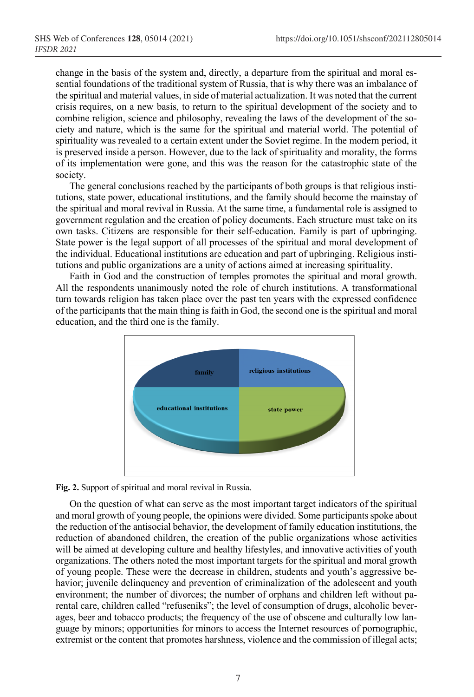change in the basis of the system and, directly, a departure from the spiritual and moral essential foundations of the traditional system of Russia, that is why there was an imbalance of the spiritual and material values, in side of material actualization. It was noted that the current crisis requires, on a new basis, to return to the spiritual development of the society and to combine religion, science and philosophy, revealing the laws of the development of the society and nature, which is the same for the spiritual and material world. The potential of spirituality was revealed to a certain extent under the Soviet regime. In the modern period, it is preserved inside a person. However, due to the lack of spirituality and morality, the forms of its implementation were gone, and this was the reason for the catastrophic state of the society.

The general conclusions reached by the participants of both groups is that religious institutions, state power, educational institutions, and the family should become the mainstay of the spiritual and moral revival in Russia. At the same time, a fundamental role is assigned to government regulation and the creation of policy documents. Each structure must take on its own tasks. Citizens are responsible for their self-education. Family is part of upbringing. State power is the legal support of all processes of the spiritual and moral development of the individual. Educational institutions are education and part of upbringing. Religious institutions and public organizations are a unity of actions aimed at increasing spirituality.

Faith in God and the construction of temples promotes the spiritual and moral growth. All the respondents unanimously noted the role of church institutions. A transformational turn towards religion has taken place over the past ten years with the expressed confidence of the participants that the main thing is faith in God, the second one isthe spiritual and moral education, and the third one is the family.



**Fig. 2.** Support of spiritual and moral revival in Russia.

On the question of what can serve as the most important target indicators of the spiritual and moral growth of young people, the opinions were divided. Some participants spoke about the reduction of the antisocial behavior, the development of family education institutions, the reduction of abandoned children, the creation of the public organizations whose activities will be aimed at developing culture and healthy lifestyles, and innovative activities of youth organizations. The others noted the most important targets for the spiritual and moral growth of young people. These were the decrease in children, students and youth's aggressive behavior; juvenile delinquency and prevention of criminalization of the adolescent and youth environment; the number of divorces; the number of orphans and children left without parental care, children called "refuseniks"; the level of consumption of drugs, alcoholic beverages, beer and tobacco products; the frequency of the use of obscene and culturally low language by minors; opportunities for minors to access the Internet resources of pornographic, extremist or the content that promotes harshness, violence and the commission of illegal acts;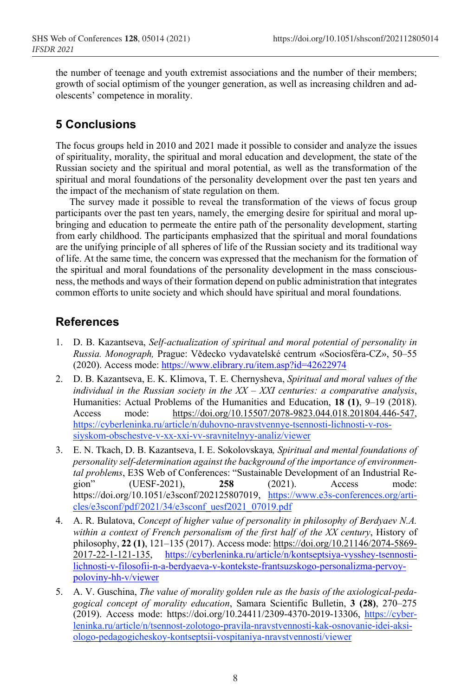the number of teenage and youth extremist associations and the number of their members; growth of social optimism of the younger generation, as well as increasing children and adolescents' competence in morality.

# **5 Conclusions**

The focus groups held in 2010 and 2021 made it possible to consider and analyze the issues of spirituality, morality, the spiritual and moral education and development, the state of the Russian society and the spiritual and moral potential, as well as the transformation of the spiritual and moral foundations of the personality development over the past ten years and the impact of the mechanism of state regulation on them.

The survey made it possible to reveal the transformation of the views of focus group participants over the past ten years, namely, the emerging desire for spiritual and moral upbringing and education to permeate the entire path of the personality development, starting from early childhood. The participants emphasized that the spiritual and moral foundations are the unifying principle of all spheres of life of the Russian society and its traditional way of life. At the same time, the concern was expressed that the mechanism for the formation of the spiritual and moral foundations of the personality development in the mass consciousness, the methods and ways of their formation depend on public administration that integrates common efforts to unite society and which should have spiritual and moral foundations.

# **References**

- 1. D. B. Kazantseva, *Self-actualization of spiritual and moral potential of personality in Russia. Monograph,* Prague: Vědecko vydavatelské centrum «Sociosféra-CZ», 50–55 (2020). Access mode: https://www.elibrary.ru/item.asp?id=42622974
- 2. D. B. Kazantseva, E. K. Klimova, T. E. Chernysheva, *Spiritual and moral values of the individual in the Russian society in the XX – XXI centuries: a comparative analysis*, Humanities: Actual Problems of the Humanities and Education, **18 (1)**, 9–19 (2018). Access mode: https://doi.org/10.15507/2078-9823.044.018.201804.446-547, https://cyberleninka.ru/article/n/duhovno-nravstvennye-tsennosti-lichnosti-v-rossiyskom-obschestve-v-xx-xxi-vv-sravnitelnyy-analiz/viewer
- 3. E. N. Tkach, D. B. Kazantseva, I. E. Sokolovskaya*, Spiritual and mental foundations of personality self-determination against the background of the importance of environmental problems*, E3S Web of Conferences: "Sustainable Development of an Industrial Region" (UESF-2021), **258** (2021). Access mode: https://doi.org/10.1051/e3sconf/202125807019, https://www.e3s-conferences.org/articles/e3sconf/pdf/2021/34/e3sconf\_uesf2021\_07019.pdf
- 4. A. R. Bulatova, *Concept of higher value of personality in philosophy of Berdyaev N.A. within a context of French personalism of the first half of the XX century*, History of philosophy, **22 (1)**, 121–135 (2017). Access mode: https://doi.org/10.21146/2074-5869- 2017-22-1-121-135, https://cyberleninka.ru/article/n/kontseptsiya-vysshey-tsennostilichnosti-v-filosofii-n-a-berdyaeva-v-kontekste-frantsuzskogo-personalizma-pervoypoloviny-hh-v/viewer
- 5. А. V. Guschina, *The value of morality golden rule as the basis of the axiological-pedagogical concept of morality education*, Samara Scientific Bulletin, **3 (28)**, 270–275 (2019). Access mode: https://doi.org/10.24411/2309-4370-2019-13306, https://cyberleninka.ru/article/n/tsennost-zolotogo-pravila-nravstvennosti-kak-osnovanie-idei-aksiologo-pedagogicheskoy-kontseptsii-vospitaniya-nravstvennosti/viewer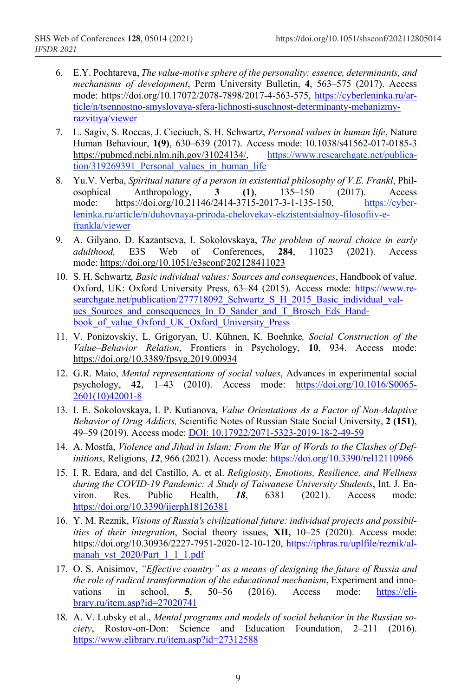- 6. E.Y. Pochtareva, *The value-motive sphere of the personality: essence, determinants, and mechanisms of development*, Perm University Bulletin, **4**, 563–575 (2017). Access mode: https://doi.org/10.17072/2078-7898/2017-4-563-575, https://cyberleninka.ru/article/n/tsennostno-smyslovaya-sfera-lichnosti-suschnost-determinanty-mehanizmyrazvitiya/viewer
- 7. L. Sagiv, S. Roccas, J. Cieciuch, S. H. Schwartz, *Personal values in human life*, Nature Human Behaviour, **1(9)**, 630–639 (2017). Access mode: 10.1038/s41562-017-0185-3<br>https://pubmed.ncbi.nlm.nih.gov/31024134/. https://www.researchgate.net/publicahttps://pubmed.ncbi.nlm.nih.gov/31024134/. tion/319269391 Personal values in human life
- 8. Yu.V. Verba, *Spiritual nature of a person in existential philosophy of V.E. Frankl*, Philosophical Anthropology, **3 (1)**, 135–150 (2017). Access mode: https://doi.org/10.21146/2414-3715-2017-3-1-135-150, https://cyberleninka.ru/article/n/duhovnaya-priroda-chelovekav-ekzistentsialnoy-filosofiiv-efrankla/viewer
- 9. A. Gilyano, D. Kazantseva, I. Sokolovskaya, *The problem of moral choice in early adulthood,* E3S Web of Conferences, **284**, 11023 (2021). Access mode: https://doi.org/10.1051/e3sconf/202128411023
- 10. S. H. Schwartz*, Basic individual values: Sources and consequences*, Handbook of value. Oxford, UK: Oxford University Press, 63–84 (2015). Access mode: https://www.researchgate.net/publication/277718092\_Schwartz\_S\_H\_2015\_Basic\_individual\_values Sources and consequences In D Sander and T Brosch Eds Handbook of value Oxford UK\_Oxford\_University\_Press
- 11. V. Ponizovskiy, L. Grigoryan, U. Kühnen, K. Boehnke*, Social Construction of the Value–Behavior Relation*, Frontiers in Psychology, **10**, 934. Access mode: https://doi.org/10.3389/fpsyg.2019.00934
- 12. G.R. Maio, *Mental representations of social values*, Advances in experimental social psychology, **42**, 1–43 (2010). Access mode: https://doi.org/10.1016/S0065- 2601(10)42001-8
- 13. I. E. Sokolovskaya, I. P. Kutianova, *Value Orientations As a Factor of Non-Adaptive Behavior of Drug Addicts,* Scientific Notes of Russian State Social University, **2 (151)**, 49–59 (2019). Access mode: DOI: 10.17922/2071-5323-2019-18-2-49-59
- 14. A. Mostfa, *Violence and Jihad in Islam: From the War of Words to the Clashes of Definitions*, Religions, *12*, 966 (2021). Access mode: https://doi.org/10.3390/rel12110966
- 15. I. R. Edara, and del Castillo, A. et al. *Religiosity, Emotions, Resilience, and Wellness during the COVID-19 Pandemic: A Study of Taiwanese University Students*, Int. J. Environ. Res. Public Health, *18*, 6381 (2021). Access mode: https://doi.org/10.3390/ijerph18126381
- 16. Y. M. Reznik, *Visions of Russia's civilizational future: individual projects and possibilities of their integration*, Social theory issues, **XII,** 10–25 (2020). Access mode: https://doi.org/10.30936/2227-7951-2020-12-10-120, https://iphras.ru/uplfile/reznik/almanah\_vst\_2020/Part\_1\_1\_1.pdf
- 17. O. S. Anisimov, *"Effective country" as a means of designing the future of Russia and the role of radical transformation of the educational mechanism*, Experiment and innovations in school, **5**, 50–56 (2016). Access mode: https://elibrary.ru/item.asp?id=27020741
- 18. A. V. Lubsky et al., *Mental programs and models of social behavior in the Russian society*, Rostov-on-Don: Science and Education Foundation, 2–211 (2016). https://www.elibrary.ru/item.asp?id=27312588